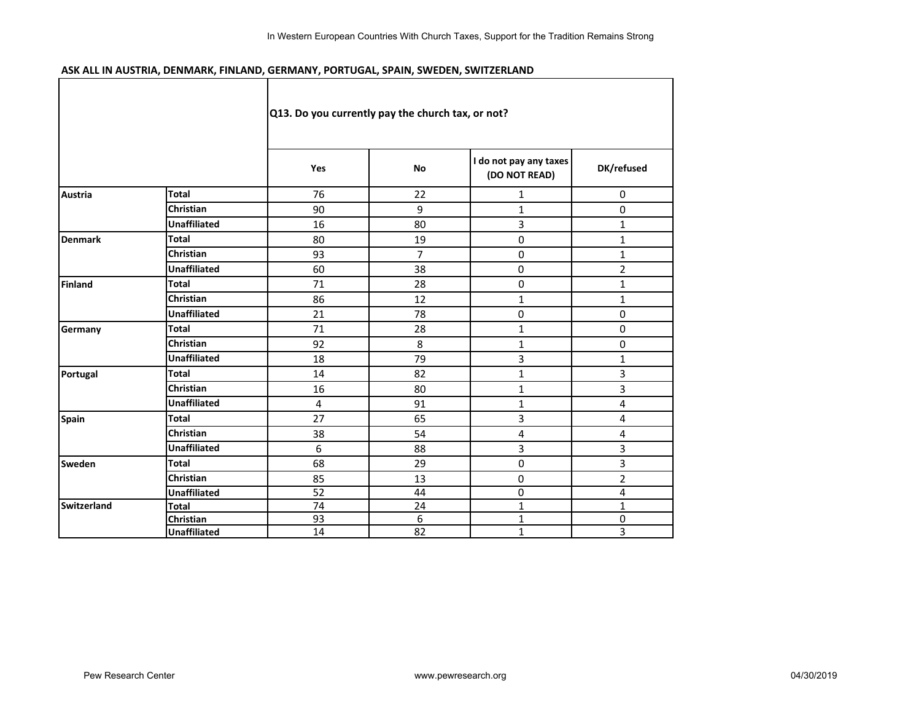## **ASK ALL IN AUSTRIA, DENMARK, FINLAND, GERMANY, PORTUGAL, SPAIN, SWEDEN, SWITZERLAND**

|                    |                     | Q13. Do you currently pay the church tax, or not? |                |                                         |                |
|--------------------|---------------------|---------------------------------------------------|----------------|-----------------------------------------|----------------|
|                    |                     | Yes                                               | <b>No</b>      | I do not pay any taxes<br>(DO NOT READ) | DK/refused     |
| <b>Austria</b>     | <b>Total</b>        | 76                                                | 22             | 1                                       | $\mathbf 0$    |
|                    | <b>Christian</b>    | 90                                                | 9              | 1                                       | 0              |
|                    | <b>Unaffiliated</b> | 16                                                | 80             | 3                                       | $\mathbf{1}$   |
| <b>Denmark</b>     | <b>Total</b>        | 80                                                | 19             | 0                                       | $\mathbf{1}$   |
|                    | Christian           | 93                                                | $\overline{7}$ | $\mathbf 0$                             | $\mathbf{1}$   |
|                    | <b>Unaffiliated</b> | 60                                                | 38             | $\mathbf 0$                             | $\overline{2}$ |
| <b>Finland</b>     | Total               | 71                                                | 28             | $\mathbf 0$                             | $\mathbf{1}$   |
|                    | Christian           | 86                                                | 12             | $\mathbf{1}$                            | $\mathbf{1}$   |
|                    | <b>Unaffiliated</b> | 21                                                | 78             | $\pmb{0}$                               | $\mathbf 0$    |
| Germany            | <b>Total</b>        | 71                                                | 28             | $\mathbf{1}$                            | 0              |
|                    | <b>Christian</b>    | 92                                                | 8              | $\mathbf{1}$                            | 0              |
|                    | <b>Unaffiliated</b> | 18                                                | 79             | 3                                       | $\mathbf{1}$   |
| Portugal           | <b>Total</b>        | 14                                                | 82             | 1                                       | 3              |
|                    | Christian           | 16                                                | 80             | $\mathbf{1}$                            | 3              |
|                    | <b>Unaffiliated</b> | 4                                                 | 91             | 1                                       | 4              |
| <b>Spain</b>       | Total               | 27                                                | 65             | 3                                       | 4              |
|                    | <b>Christian</b>    | 38                                                | 54             | 4                                       | 4              |
|                    | <b>Unaffiliated</b> | 6                                                 | 88             | 3                                       | 3              |
| <b>Sweden</b>      | Total               | 68                                                | 29             | 0                                       | 3              |
|                    | Christian           | 85                                                | 13             | $\mathbf 0$                             | $\overline{2}$ |
|                    | <b>Unaffiliated</b> | 52                                                | 44             | 0                                       | 4              |
| <b>Switzerland</b> | <b>Total</b>        | 74                                                | 24             | $\mathbf 1$                             | $\mathbf{1}$   |
|                    | Christian           | 93                                                | 6              | 1                                       | 0              |
|                    | <b>Unaffiliated</b> | 14                                                | 82             | $\mathbf{1}$                            | 3              |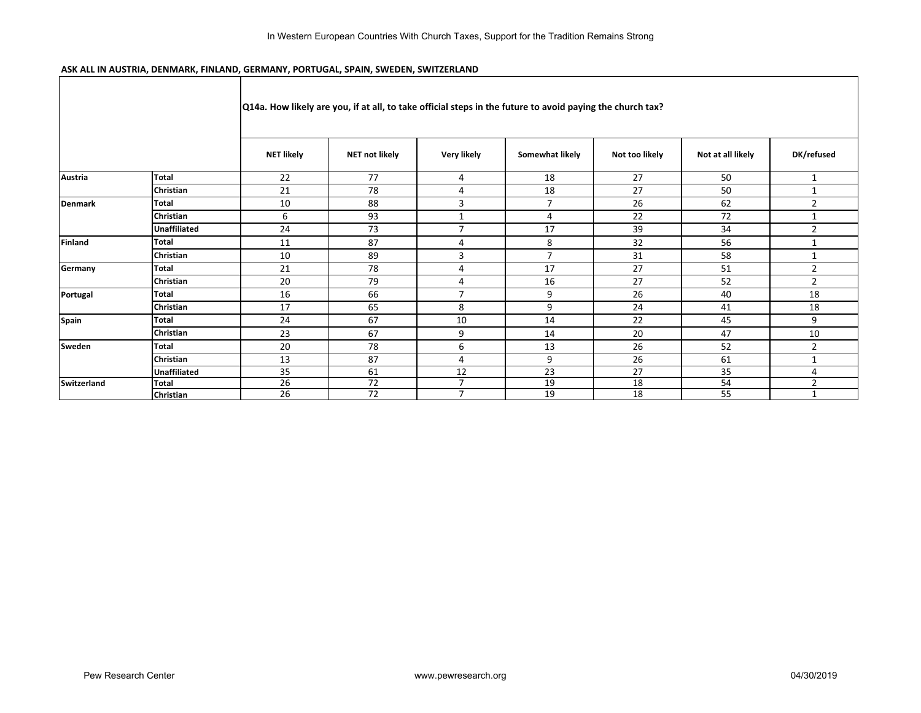## **ASK ALL IN AUSTRIA, DENMARK, FINLAND, GERMANY, PORTUGAL, SPAIN, SWEDEN, SWITZERLAND**

|                |                     |                   |                |                | [Q14a. How likely are you, if at all, to take official steps in the future to avoid paying the church tax? |                |                   |                |
|----------------|---------------------|-------------------|----------------|----------------|------------------------------------------------------------------------------------------------------------|----------------|-------------------|----------------|
|                |                     | <b>NET likely</b> | NET not likely | Very likely    | Somewhat likely                                                                                            | Not too likely | Not at all likely | DK/refused     |
| <b>Austria</b> | <b>Total</b>        | 22                | 77             | 4              | 18                                                                                                         | 27             | 50                | $\mathbf{1}$   |
|                | Christian           | 21                | 78             | $\overline{4}$ | 18                                                                                                         | 27             | 50                | $\mathbf{1}$   |
| <b>Denmark</b> | <b>Total</b>        | 10                | 88             | $\overline{3}$ | $\overline{7}$                                                                                             | 26             | 62                | $\overline{2}$ |
|                | <b>Christian</b>    | 6                 | 93             | $\mathbf{1}$   | 4                                                                                                          | 22             | 72                | 1              |
|                | <b>Unaffiliated</b> | 24                | 73             | $\overline{7}$ | 17                                                                                                         | 39             | 34                | $\overline{2}$ |
| <b>Finland</b> | <b>Total</b>        | 11                | 87             | $\overline{4}$ | 8                                                                                                          | 32             | 56                | $\mathbf{1}$   |
|                | <b>Christian</b>    | 10                | 89             | 3              | $\overline{7}$                                                                                             | 31             | 58                | 1              |
| Germany        | <b>Total</b>        | 21                | 78             | $\overline{a}$ | 17                                                                                                         | 27             | 51                | $\overline{2}$ |
|                | <b>Christian</b>    | 20                | 79             | $\overline{a}$ | 16                                                                                                         | 27             | 52                | $\overline{2}$ |
| Portugal       | <b>Total</b>        | 16                | 66             | $\overline{7}$ | 9                                                                                                          | 26             | 40                | 18             |
|                | <b>Christian</b>    | 17                | 65             | 8              | 9                                                                                                          | 24             | 41                | 18             |
| Spain          | <b>Total</b>        | 24                | 67             | 10             | 14                                                                                                         | 22             | 45                | 9              |
|                | <b>Christian</b>    | 23                | 67             | 9              | 14                                                                                                         | 20             | 47                | 10             |
| Sweden         | <b>Total</b>        | 20                | 78             | 6              | 13                                                                                                         | 26             | 52                | $\overline{2}$ |
|                | <b>Christian</b>    | 13                | 87             | $\overline{4}$ | 9                                                                                                          | 26             | 61                | 1              |
|                | <b>Unaffiliated</b> | 35                | 61             | 12             | 23                                                                                                         | 27             | 35                | $\overline{4}$ |
| Switzerland    | <b>Total</b>        | 26                | 72             | $\overline{7}$ | 19                                                                                                         | 18             | 54                | $\overline{2}$ |
|                | Christian           | 26                | 72             | $\overline{7}$ | 19                                                                                                         | 18             | 55                | $\mathbf{A}$   |